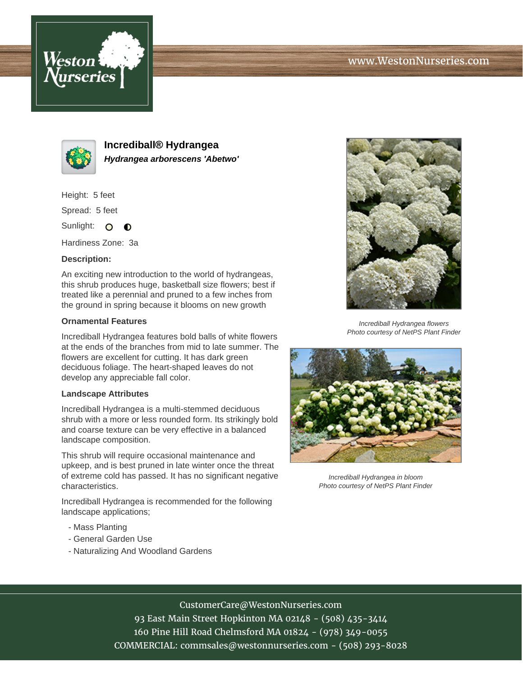



**Incrediball® Hydrangea Hydrangea arborescens 'Abetwo'**

Height: 5 feet

Spread: 5 feet

Sunlight: O  $\bullet$ 

Hardiness Zone: 3a

## **Description:**

An exciting new introduction to the world of hydrangeas, this shrub produces huge, basketball size flowers; best if treated like a perennial and pruned to a few inches from the ground in spring because it blooms on new growth

## **Ornamental Features**

Incrediball Hydrangea features bold balls of white flowers at the ends of the branches from mid to late summer. The flowers are excellent for cutting. It has dark green deciduous foliage. The heart-shaped leaves do not develop any appreciable fall color.

## **Landscape Attributes**

Incrediball Hydrangea is a multi-stemmed deciduous shrub with a more or less rounded form. Its strikingly bold and coarse texture can be very effective in a balanced landscape composition.

This shrub will require occasional maintenance and upkeep, and is best pruned in late winter once the threat of extreme cold has passed. It has no significant negative characteristics.

Incrediball Hydrangea is recommended for the following landscape applications;

- Mass Planting
- General Garden Use
- Naturalizing And Woodland Gardens



Incrediball Hydrangea flowers Photo courtesy of NetPS Plant Finder



Incrediball Hydrangea in bloom Photo courtesy of NetPS Plant Finder

# CustomerCare@WestonNurseries.com

93 East Main Street Hopkinton MA 02148 - (508) 435-3414 160 Pine Hill Road Chelmsford MA 01824 - (978) 349-0055 COMMERCIAL: commsales@westonnurseries.com - (508) 293-8028